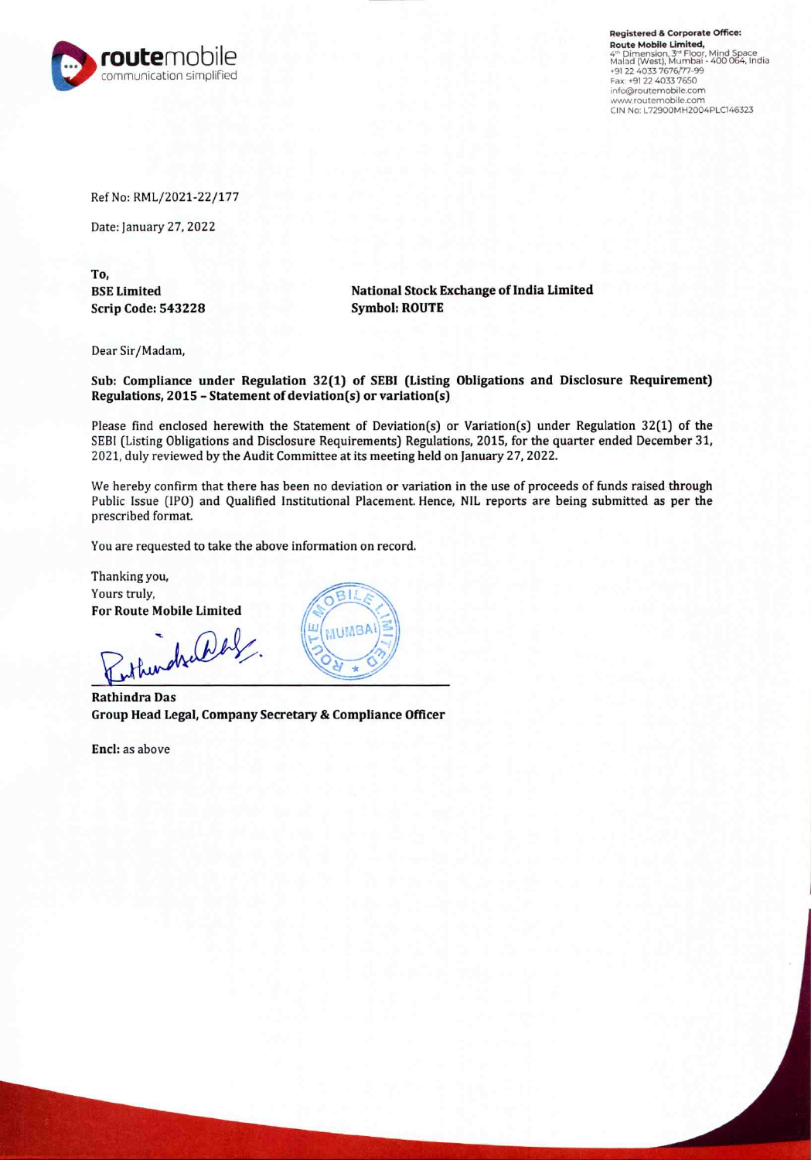

Registered & Corporate Office: Route Mobile Limited, 4ª Dimension, 3ª Floor, Mind Space<br>Malad (West), Mumbai - 400 064, India<br>+91 22 4033 7676/77-99 Fax: +91 22 4033 765O in€o@routemobile.com www.routemobile.com CIN No: L72900MH2004PLC146323

Ref No: RML/2021-22/177

Date: January 27, 2022

To, BSE Limited Scrip Code: 543228

National Stock Exchange of India Limited Symbol: ROUTE

Dear Sir/Madam,

Sub: Compliance under Regulation 32(1) of SEBI (Listing Obligations and Disclosure Requirement) Regulations, 2015 - Statement of deviation(s) or variation(s)

Please find enclosed herewith the Statement of Deviation(s) or Variation(s) under Regulation 32(1) of the SEBI (Listing Obligations and Disclosure Requirements) Regulations, 2015, for the quarter ended December 31, 2021, duly reviewed by the Audit Committee at its meeting held on January 27, 2022.

We hereby confirm that there has been no deviation or variation in the use of proceeds of funds raised through Public Issue (IPO) and Qualified Institutional Placement. Hence, NIL reports are being submitted as per the prescribed format.

You are requested to take the above information on record.

Thanking you, Yours truly, For Route Mobile Limited

inthendral aby

Rathindra Das Group Head Legal, Company Secretary & Compliance Officer

Encl: as above

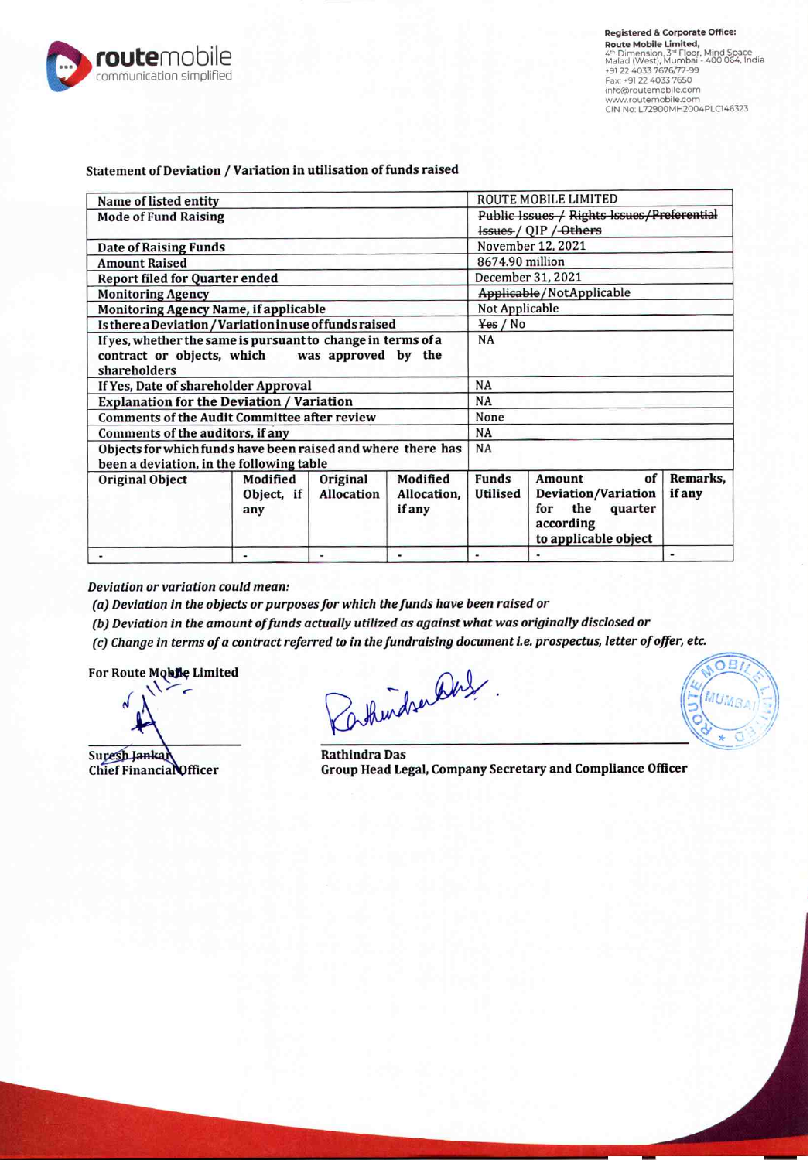

| Name of listed entity                                                                                                          |                               |                               |                                          |                          | ROUTE MOBILE LIMITED                                                                              |                           |  |
|--------------------------------------------------------------------------------------------------------------------------------|-------------------------------|-------------------------------|------------------------------------------|--------------------------|---------------------------------------------------------------------------------------------------|---------------------------|--|
| <b>Mode of Fund Raising</b>                                                                                                    |                               |                               |                                          |                          | Public Issues / Rights Issues/Preferential<br>Issues / QIP / Others                               |                           |  |
| <b>Date of Raising Funds</b>                                                                                                   |                               | November 12, 2021             |                                          |                          |                                                                                                   |                           |  |
| <b>Amount Raised</b>                                                                                                           |                               |                               |                                          |                          | 8674.90 million                                                                                   |                           |  |
| <b>Report filed for Quarter ended</b>                                                                                          |                               |                               |                                          |                          | December 31, 2021                                                                                 |                           |  |
| <b>Monitoring Agency</b>                                                                                                       |                               |                               |                                          |                          | Applicable/NotApplicable                                                                          |                           |  |
| Monitoring Agency Name, if applicable                                                                                          |                               |                               |                                          |                          | Not Applicable                                                                                    |                           |  |
| Is there a Deviation / Variation in use of funds raised                                                                        |                               |                               |                                          |                          | Yes / No                                                                                          |                           |  |
| If yes, whether the same is pursuant to change in terms of a<br>contract or objects, which was approved by the<br>shareholders |                               | NA                            |                                          |                          |                                                                                                   |                           |  |
| If Yes, Date of shareholder Approval                                                                                           |                               |                               |                                          |                          | NA                                                                                                |                           |  |
| <b>Explanation for the Deviation / Variation</b>                                                                               |                               |                               |                                          |                          | NA                                                                                                |                           |  |
| <b>Comments of the Audit Committee after review</b>                                                                            |                               |                               |                                          |                          | None                                                                                              |                           |  |
| Comments of the auditors, if any                                                                                               |                               |                               |                                          |                          | NA                                                                                                |                           |  |
| Objects for which funds have been raised and where there has<br>been a deviation, in the following table                       |                               |                               |                                          |                          | NA                                                                                                |                           |  |
| Original Object                                                                                                                | Modified<br>Object, if<br>any | Original<br><b>Allocation</b> | Modified<br>Allocation.<br><i>if any</i> | <b>Funds</b><br>Utilised | Amount<br>of<br>Deviation/Variation<br>the<br>quarter<br>for<br>according<br>to applicable object | Remarks.<br><i>if</i> any |  |
|                                                                                                                                | ٠                             |                               |                                          |                          |                                                                                                   |                           |  |

Statement of Deviation / Variation in utilisation of funds raised

Deviation or variation could mean:

(a) Deviation in the objects or purposes for which the funds have been raised or

(b) Deviation in the amount of funds actually utilized as against what was originally disclosed or

(c) Change in terms of a contract referred to in the fundraising document i.e. prospectus, letter of offer, etc.

For Route Mobile Limited

Suresh Jankar<br>Chief Financial Officer Group Head Le

askindren Das

Group Head Legal, Company Secretary and Compliance Officer